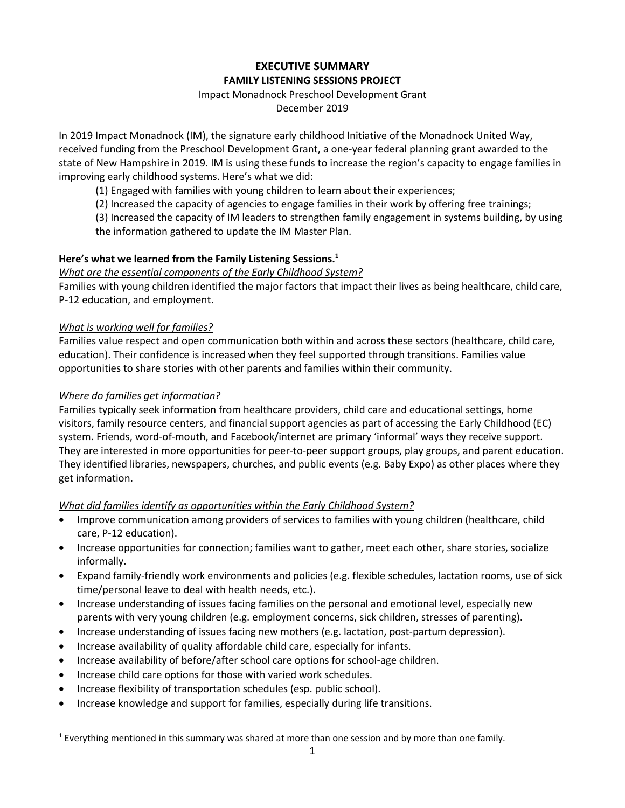# **EXECUTIVE SUMMARY FAMILY LISTENING SESSIONS PROJECT**

#### Impact Monadnock Preschool Development Grant

December 2019

In 2019 Impact Monadnock (IM), the signature early childhood Initiative of the Monadnock United Way, received funding from the Preschool Development Grant, a one-year federal planning grant awarded to the state of New Hampshire in 2019. IM is using these funds to increase the region's capacity to engage families in improving early childhood systems. Here's what we did:

(1) Engaged with families with young children to learn about their experiences;

(2) Increased the capacity of agencies to engage families in their work by offering free trainings;

(3) Increased the capacity of IM leaders to strengthen family engagement in systems building, by using the information gathered to update the IM Master Plan.

## **Here's what we learned from the Family Listening Sessions. 1**

*What are the essential components of the Early Childhood System?*

Families with young children identified the major factors that impact their lives as being healthcare, child care, P-12 education, and employment.

### *What is working well for families?*

Families value respect and open communication both within and across these sectors (healthcare, child care, education). Their confidence is increased when they feel supported through transitions. Families value opportunities to share stories with other parents and families within their community.

### *Where do families get information?*

Families typically seek information from healthcare providers, child care and educational settings, home visitors, family resource centers, and financial support agencies as part of accessing the Early Childhood (EC) system. Friends, word-of-mouth, and Facebook/internet are primary 'informal' ways they receive support. They are interested in more opportunities for peer-to-peer support groups, play groups, and parent education. They identified libraries, newspapers, churches, and public events (e.g. Baby Expo) as other places where they get information.

### *What did families identify as opportunities within the Early Childhood System?*

- Improve communication among providers of services to families with young children (healthcare, child care, P-12 education).
- Increase opportunities for connection; families want to gather, meet each other, share stories, socialize informally.
- Expand family-friendly work environments and policies (e.g. flexible schedules, lactation rooms, use of sick time/personal leave to deal with health needs, etc.).
- Increase understanding of issues facing families on the personal and emotional level, especially new parents with very young children (e.g. employment concerns, sick children, stresses of parenting).
- Increase understanding of issues facing new mothers (e.g. lactation, post-partum depression).
- Increase availability of quality affordable child care, especially for infants.
- Increase availability of before/after school care options for school-age children.
- Increase child care options for those with varied work schedules.
- Increase flexibility of transportation schedules (esp. public school).
- Increase knowledge and support for families, especially during life transitions.

<sup>&</sup>lt;sup>1</sup> Everything mentioned in this summary was shared at more than one session and by more than one family.